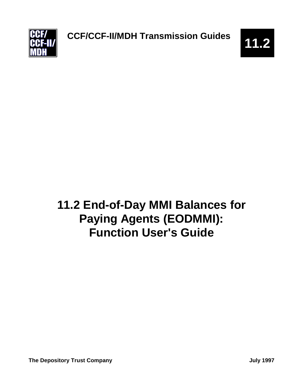

# **11.2 End-of-Day MMI Balances for Paying Agents (EODMMI): Function User's Guide**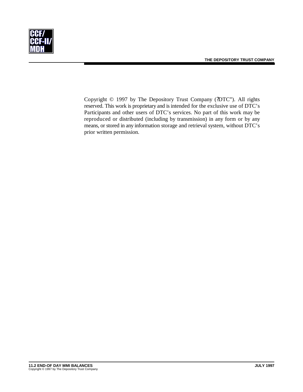

Copyright © 1997 by The Depository Trust Company (?DTC"). All rights reserved. This work is proprietary and is intended for the exclusive use of DTC's Participants and other users of DTC's services. No part of this work may be reproduced or distributed (including by transmission) in any form or by any means, or stored in any information storage and retrieval system, without DTC's prior written permission.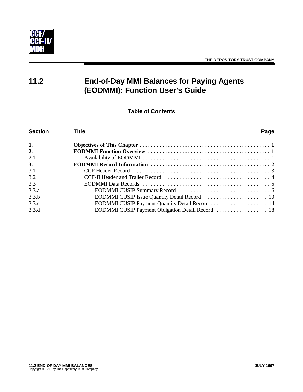

# **11.2 End-of-Day MMI Balances for Paying Agents (EODMMI): Function User's Guide**

**Table of Contents**

| <b>Section</b> | <b>Title</b><br>Page                            |
|----------------|-------------------------------------------------|
| 1.             |                                                 |
| 2.             |                                                 |
| 2.1            |                                                 |
| 3.             |                                                 |
| 3.1            |                                                 |
| 3.2            |                                                 |
| 3.3            |                                                 |
| 3.3.a          |                                                 |
| 3.3.b          |                                                 |
| 3.3.c          | EODMMI CUSIP Payment Quantity Detail Record  14 |
| 3.3.d          |                                                 |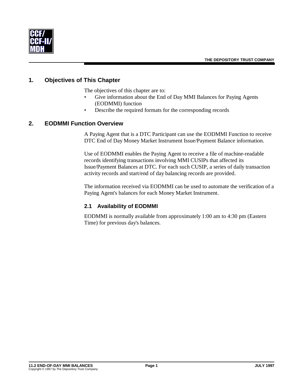

# **1. Objectives of This Chapter**

The objectives of this chapter are to:

- Give information about the End of Day MMI Balances for Paying Agents (EODMMI) function
- Describe the required formats for the corresponding records

#### **2. EODMMI Function Overview**

A Paying Agent that is a DTC Participant can use the EODMMI Function to receive DTC End of Day Money Market Instrument Issue/Payment Balance information.

Use of EODMMI enables the Paying Agent to receive a file of machine-readable records identifying transactions involving MMI CUSIPs that affected its Issue/Payment Balances at DTC. For each such CUSIP, a series of daily transaction activity records and start/end of day balancing records are provided.

The information received via EODMMI can be used to automate the verification of a Paying Agent's balances for each Money Market Instrument.

#### **2.1 Availability of EODMMI**

EODMMI is normally available from approximately 1:00 am to 4:30 pm (Eastern Time) for previous day's balances.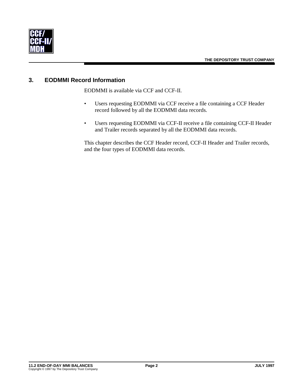

# **3. EODMMI Record Information**

EODMMI is available via CCF and CCF-II.

- Users requesting EODMMI via CCF receive a file containing a CCF Header record followed by all the EODMMI data records.
- Users requesting EODMMI via CCF-II receive a file containing CCF-II Header and Trailer records separated by all the EODMMI data records.

This chapter describes the CCF Header record, CCF-II Header and Trailer records, and the four types of EODMMI data records.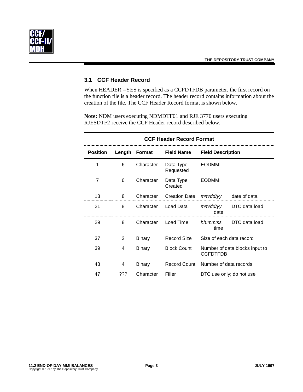

#### **3.1 CCF Header Record**

When HEADER =YES is specified as a CCFDTFDB parameter, the first record on the function file is a header record. The header record contains information about the creation of the file. The CCF Header Record format is shown below.

**Note:** NDM users executing NDMDTF01 and RJE 3770 users executing RJESDTF2 receive the CCF Header record described below.

| <b>CCF Header Record Format</b> |        |           |                                               |                                                   |                          |  |  |
|---------------------------------|--------|-----------|-----------------------------------------------|---------------------------------------------------|--------------------------|--|--|
| <b>Position</b>                 | Length | Format    | <b>Field Name</b><br><b>Field Description</b> |                                                   |                          |  |  |
| 1                               | 6      | Character | Data Type<br>Requested                        | <b>EODMMI</b>                                     |                          |  |  |
| 7                               | 6      | Character | Data Type<br>Created                          | <b>EODMMI</b>                                     |                          |  |  |
| 13                              | 8      | Character | <b>Creation Date</b>                          | mm/dd/yy                                          | date of data             |  |  |
| 21                              | 8      | Character | Load Data                                     | mm/dd/yy<br>DTC data load<br>date                 |                          |  |  |
| 29                              | 8      | Character | Load Time                                     | DTC data load<br>hh:mm:ss<br>time                 |                          |  |  |
| 37                              | 2      | Binary    | <b>Record Size</b>                            |                                                   | Size of each data record |  |  |
| 39                              | 4      | Binary    | <b>Block Count</b>                            | Number of data blocks input to<br><b>CCFDTFDB</b> |                          |  |  |
| 43                              | 4      | Binary    | <b>Record Count</b>                           | Number of data records                            |                          |  |  |
| 47                              | ???    | Character | Filler                                        |                                                   | DTC use only; do not use |  |  |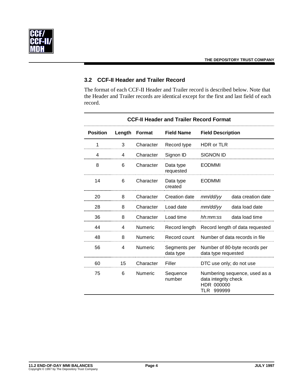

# **3.2 CCF-II Header and Trailer Record**

The format of each CCF-II Header and Trailer record is described below. Note that the Header and Trailer records are identical except for the first and last field of each record.

| <b>CCF-II Header and Trailer Record Format</b> |        |               |                           |                                                                                   |  |  |
|------------------------------------------------|--------|---------------|---------------------------|-----------------------------------------------------------------------------------|--|--|
| <b>Position</b>                                | Length | <b>Format</b> | <b>Field Name</b>         | <b>Field Description</b>                                                          |  |  |
| 1                                              | 3      | Character     | Record type               | <b>HDR or TLR</b>                                                                 |  |  |
| 4                                              | 4      | Character     | Signon ID                 | <b>SIGNON ID</b>                                                                  |  |  |
| 8                                              | 6      | Character     | Data type<br>requested    | <b>EODMMI</b>                                                                     |  |  |
| 14                                             | 6      | Character     | Data type<br>created      | <b>EODMMI</b>                                                                     |  |  |
| 20                                             | 8      | Character     | Creation date             | data creation date<br>mm/dd/yy                                                    |  |  |
| 28                                             | 8      | Character     | Load date                 | data load date<br>mm/dd/yy                                                        |  |  |
| 36                                             | 8      | Character     | Load time                 | data load time<br>hh:mm:ss                                                        |  |  |
| 44                                             | 4      | Numeric       | Record length             | Record length of data requested                                                   |  |  |
| 48                                             | 8      | Numeric       | Record count              | Number of data records in file                                                    |  |  |
| 56                                             | 4      | Numeric       | Segments per<br>data type | Number of 80-byte records per<br>data type requested                              |  |  |
| 60                                             | 15     | Character     | Filler                    | DTC use only; do not use                                                          |  |  |
| 75                                             | 6      | Numeric       | Sequence<br>number        | Numbering sequence, used as a<br>data integrity check<br>HDR 000000<br>TLR 999999 |  |  |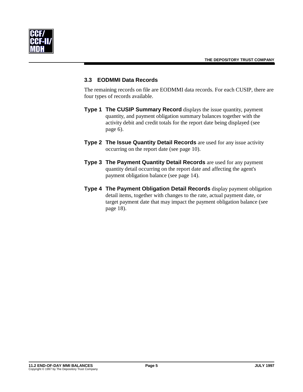

#### **3.3 EODMMI Data Records**

The remaining records on file are EODMMI data records. For each CUSIP, there are four types of records available.

- **Type 1 The CUSIP Summary Record** displays the issue quantity, payment quantity, and payment obligation summary balances together with the activity debit and credit totals for the report date being displayed (see page 6).
- **Type 2 The Issue Quantity Detail Records** are used for any issue activity occurring on the report date (see page 10).
- **Type 3 The Payment Quantity Detail Records** are used for any payment quantity detail occurring on the report date and affecting the agent's payment obligation balance (see page 14).
- **Type 4 The Payment Obligation Detail Records** display payment obligation detail items, together with changes to the rate, actual payment date, or target payment date that may impact the payment obligation balance (see page 18).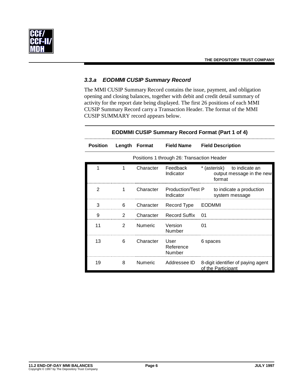

#### *3.3.a EODMMI CUSIP Summary Record*

The MMI CUSIP Summary Record contains the issue, payment, and obligation opening and closing balances, together with debit and credit detail summary of activity for the report date being displayed. The first 26 positions of each MMI CUSIP Summary Record carry a Transaction Header. The format of the MMI CUSIP SUMMARY record appears below.

|                 | <b>EODMMI CUSIP Summary Record Format (Part 1 of 4)</b> |                |                                            |                                                                       |  |
|-----------------|---------------------------------------------------------|----------------|--------------------------------------------|-----------------------------------------------------------------------|--|
| <b>Position</b> |                                                         | Length Format  | <b>Field Name</b>                          | <b>Field Description</b>                                              |  |
|                 |                                                         |                | Positions 1 through 26: Transaction Header |                                                                       |  |
| 1               | 1                                                       | Character      | Feedback<br>Indicator                      | * (asterisk)<br>to indicate an<br>output message in the new<br>format |  |
| 2               | 1                                                       | Character      | Indicator                                  | Production/Test P to indicate a production<br>system message          |  |
| 3               | 6                                                       | Character      | Record Type                                | <b>EODMMI</b>                                                         |  |
| 9               | $\mathcal{P}$                                           | Character      | <b>Record Suffix</b>                       | 01                                                                    |  |
| 11              | 2                                                       | <b>Numeric</b> | Version<br>Number                          | 01                                                                    |  |
| 13              | 6                                                       | Character      | User<br>Reference<br>Number                | 6 spaces                                                              |  |
| 19              | 8                                                       | <b>Numeric</b> | Addressee ID                               | 8-digit identifier of paying agent<br>of the Participant              |  |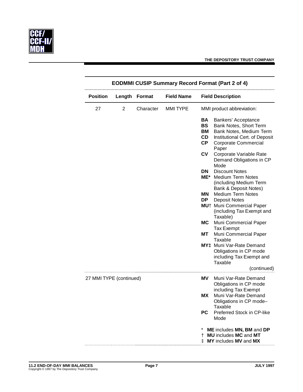

|                         | <b>EODMMI CUSIP Summary Record Format (Part 2 of 4)</b> |               |                   |                                                 |                                                                                                                                                    |  |
|-------------------------|---------------------------------------------------------|---------------|-------------------|-------------------------------------------------|----------------------------------------------------------------------------------------------------------------------------------------------------|--|
| <b>Position</b>         | Length                                                  | <b>Format</b> | <b>Field Name</b> |                                                 | <b>Field Description</b>                                                                                                                           |  |
| 27                      | $\overline{2}$                                          | Character     | <b>MMITYPE</b>    |                                                 | MMI product abbreviation:                                                                                                                          |  |
|                         |                                                         |               |                   | BA<br><b>BS</b><br>BM<br><b>CD</b><br><b>CP</b> | Bankers' Acceptance<br>Bank Notes, Short Term<br>Bank Notes, Medium Term<br>Institutional Cert. of Deposit<br><b>Corporate Commercial</b><br>Paper |  |
|                         |                                                         |               |                   | CV                                              | Corporate Variable Rate<br>Demand Obligations in CP<br>Mode                                                                                        |  |
|                         |                                                         |               |                   | <b>DN</b><br>ME*                                | <b>Discount Notes</b><br><b>Medium Term Notes</b><br>(including Medium Term<br>Bank & Deposit Notes)                                               |  |
|                         |                                                         |               |                   | MN<br>DP.                                       | <b>Medium Term Notes</b><br><b>Deposit Notes</b><br>MU <sup>+</sup> Muni Commercial Paper<br>(including Tax Exempt and                             |  |
|                         |                                                         |               |                   | <b>MC</b><br>MТ                                 | Taxable)<br>Muni Commercial Paper<br>Tax Exempt<br>Muni Commercial Paper                                                                           |  |
|                         |                                                         |               |                   |                                                 | Taxable<br>MY <sup>+</sup> Muni Var-Rate Demand<br>Obligations in CP mode<br>including Tax Exempt and<br>Taxable<br>(continued)                    |  |
| 27 MMI TYPE (continued) |                                                         |               |                   | ΜV                                              | Muni Var-Rate Demand<br>Obligations in CP mode<br>including Tax Exempt                                                                             |  |
|                         |                                                         |               |                   | МX<br><b>PC</b>                                 | Muni Var-Rate Demand<br>Obligations in CP mode-<br>Taxable<br>Preferred Stock in CP-like<br>Mode                                                   |  |
|                         |                                                         |               |                   |                                                 | ME includes MN, BM and DP<br><b>MU</b> includes MC and MT<br>MY includes MV and MX                                                                 |  |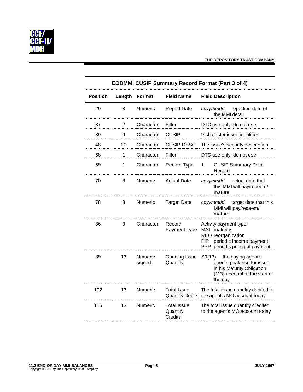

|                 | <b>EODMMI CUSIP Summary Record Format (Part 3 of 4)</b> |                   |                                                  |                                                                                                                                         |  |  |  |
|-----------------|---------------------------------------------------------|-------------------|--------------------------------------------------|-----------------------------------------------------------------------------------------------------------------------------------------|--|--|--|
| <b>Position</b> | Length                                                  | <b>Format</b>     | <b>Field Name</b>                                | <b>Field Description</b>                                                                                                                |  |  |  |
| 29              | 8                                                       | Numeric           | <b>Report Date</b>                               | reporting date of<br>ccyymmdd<br>the MMI detail                                                                                         |  |  |  |
| 37              | $\overline{2}$                                          | Character         | Filler                                           | DTC use only; do not use                                                                                                                |  |  |  |
| 39              | 9                                                       | Character         | <b>CUSIP</b>                                     | 9-character issue identifier                                                                                                            |  |  |  |
| 48              | 20                                                      | Character         | <b>CUSIP-DESC</b>                                | The issue's security description                                                                                                        |  |  |  |
| 68              | 1                                                       | Character         | Filler                                           | DTC use only; do not use                                                                                                                |  |  |  |
| 69              | 1                                                       | Character         | Record Type                                      | <b>CUSIP Summary Detail</b><br>1<br>Record                                                                                              |  |  |  |
| 70              | 8                                                       | Numeric           | <b>Actual Date</b>                               | actual date that<br>ccvymmdd<br>this MMI will pay/redeem/<br>mature                                                                     |  |  |  |
| 78              | 8                                                       | Numeric           | <b>Target Date</b>                               | target date that this<br>ccyymmdd<br>MMI will pay/redeem/<br>mature                                                                     |  |  |  |
| 86              | 3                                                       | Character         | Record<br>Payment Type                           | Activity payment type:<br>MAT maturity<br>REO reorganization<br>periodic income payment<br><b>PIP</b><br>PPP periodic principal payment |  |  |  |
| 89              | 13                                                      | Numeric<br>signed | Opening Issue<br>Quantity                        | S9(13) the paying agent's<br>opening balance for issue<br>in his Maturity Obligation<br>(MO) account at the start of<br>the day         |  |  |  |
| 102             | 13                                                      | Numeric           | <b>Total Issue</b>                               | The total issue quantity debited to<br>Quantity Debits the agent's MO account today                                                     |  |  |  |
| 115             | 13                                                      | Numeric           | <b>Total Issue</b><br>Quantity<br><b>Credits</b> | The total issue quantity credited<br>to the agent's MO account today                                                                    |  |  |  |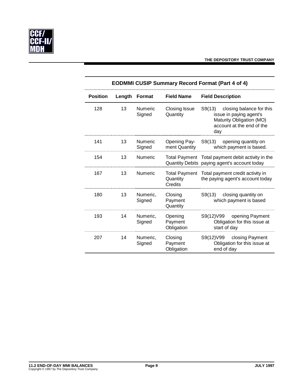

|                 | <b>EODMMI CUSIP Summary Record Format (Part 4 of 4)</b> |                          |                                  |                                                                                                                            |  |  |
|-----------------|---------------------------------------------------------|--------------------------|----------------------------------|----------------------------------------------------------------------------------------------------------------------------|--|--|
| <b>Position</b> | Length                                                  | Format                   | <b>Field Name</b>                | <b>Field Description</b>                                                                                                   |  |  |
| 128             | 13                                                      | <b>Numeric</b><br>Signed | Closing Issue<br>Quantity        | S9(13) closing balance for this<br>issue in paying agent's<br>Maturity Obligation (MO)<br>account at the end of the<br>day |  |  |
| 141             | 13                                                      | <b>Numeric</b><br>Signed | Opening Pay-<br>ment Quantity    | S9(13) opening quantity on<br>which payment is based.                                                                      |  |  |
| 154             | 13                                                      | <b>Numeric</b>           |                                  | Total Payment Total payment debit activity in the<br>Quantity Debits paying agent's account today                          |  |  |
| 167             | 13                                                      | <b>Numeric</b>           | Quantity<br><b>Credits</b>       | Total Payment Total payment credit activity in<br>the paying agent's account today                                         |  |  |
| 180             | 13                                                      | Numeric,<br>Signed       | Closing<br>Payment<br>Quantity   | S9(13) closing quantity on<br>which payment is based                                                                       |  |  |
| 193             | 14                                                      | Numeric,<br>Signed       | Opening<br>Payment<br>Obligation | S9(12)V99 opening Payment<br>Obligation for this issue at<br>start of day                                                  |  |  |
| 207             | 14                                                      | Numeric,<br>Signed       | Closing<br>Payment<br>Obligation | S9(12)V99 closing Payment<br>Obligation for this issue at<br>end of day                                                    |  |  |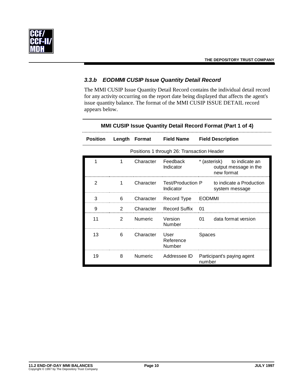

# *3.3.b EODMMI CUSIP Issue Quantity Detail Record*

The MMI CUSIP Issue Quantity Detail Record contains the individual detail record for any activity occurring on the report date being displayed that affects the agent's issue quantity balance. The format of the MMI CUSIP ISSUE DETAIL record appears below.

|                 | <b>MMI CUSIP Issue Quantity Detail Record Format (Part 1 of 4)</b> |                |                                            |                            |                                            |  |  |
|-----------------|--------------------------------------------------------------------|----------------|--------------------------------------------|----------------------------|--------------------------------------------|--|--|
| <b>Position</b> | Length                                                             | Format         | <b>Field Name</b>                          | <b>Field Description</b>   |                                            |  |  |
|                 |                                                                    |                | Positions 1 through 26: Transaction Header |                            |                                            |  |  |
| 1               | 1                                                                  | Character      | Feedback<br>Indicator                      | * (asterisk)<br>new format | to indicate an<br>output message in the    |  |  |
| 2               | 1                                                                  | Character      | Test/Production P<br>Indicator             |                            | to indicate a Production<br>system message |  |  |
| 3               | 6                                                                  | Character      | Record Type                                | <b>EODMMI</b>              |                                            |  |  |
| 9               | $\overline{2}$                                                     | Character      | <b>Record Suffix</b>                       | 01                         |                                            |  |  |
| 11              | $\overline{2}$                                                     | <b>Numeric</b> | Version<br>Number                          | 01                         | data format version                        |  |  |
| 13              | 6                                                                  | Character      | User<br>Reference<br>Number                | Spaces                     |                                            |  |  |
| 19              | 8                                                                  | <b>Numeric</b> | Addressee ID                               | number                     | Participant's paying agent                 |  |  |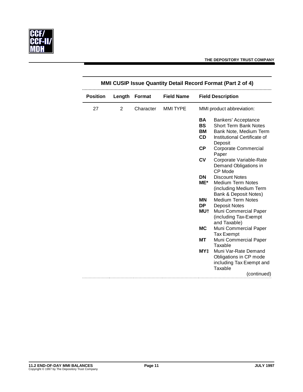

| MMI CUSIP Issue Quantity Detail Record Format (Part 2 of 4) |                |                                    |                 |                          |                                                                |
|-------------------------------------------------------------|----------------|------------------------------------|-----------------|--------------------------|----------------------------------------------------------------|
| <b>Position</b>                                             | Length         | <b>Field Name</b><br><b>Format</b> |                 | <b>Field Description</b> |                                                                |
| 27                                                          | $\overline{2}$ | Character                          | <b>MMI TYPE</b> |                          | MMI product abbreviation:                                      |
|                                                             |                |                                    |                 | BA                       | Bankers' Acceptance                                            |
|                                                             |                |                                    |                 | <b>BS</b>                | <b>Short Term Bank Notes</b>                                   |
|                                                             |                |                                    |                 | <b>BM</b>                | Bank Note, Medium Term                                         |
|                                                             |                |                                    |                 | CD                       | Institutional Certificate of<br>Deposit                        |
|                                                             |                |                                    |                 | <b>CP</b>                | <b>Corporate Commercial</b><br>Paper                           |
|                                                             |                |                                    |                 | <b>CV</b>                | Corporate Variable-Rate<br>Demand Obligations in<br>CP Mode    |
|                                                             |                |                                    |                 | <b>DN</b>                | <b>Discount Notes</b>                                          |
|                                                             |                |                                    |                 | ME*                      | <b>Medium Term Notes</b>                                       |
|                                                             |                |                                    |                 |                          | (including Medium Term<br><b>Bank &amp; Deposit Notes)</b>     |
|                                                             |                |                                    |                 | MN                       | <b>Medium Term Notes</b>                                       |
|                                                             |                |                                    |                 | <b>DP</b>                | <b>Deposit Notes</b>                                           |
|                                                             |                |                                    |                 | <b>MU†</b>               | Muni Commercial Paper<br>(including Tax-Exempt<br>and Taxable) |
|                                                             |                |                                    |                 | <b>MC</b>                | Muni Commercial Paper<br><b>Tax Exempt</b>                     |
|                                                             |                |                                    |                 | МT                       | Muni Commercial Paper<br>Taxable                               |
|                                                             |                |                                    |                 | MY±                      | Muni Var-Rate Demand                                           |
|                                                             |                |                                    |                 |                          | Obligations in CP mode                                         |
|                                                             |                |                                    |                 |                          | including Tax Exempt and                                       |
|                                                             |                |                                    |                 |                          | Taxable                                                        |
|                                                             |                |                                    |                 |                          | (continued)                                                    |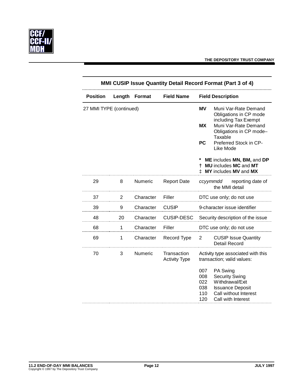

| <b>MMI CUSIP Issue Quantity Detail Record Format (Part 3 of 4)</b> |        |               |                                     |                                        |                                                                                                                                |
|--------------------------------------------------------------------|--------|---------------|-------------------------------------|----------------------------------------|--------------------------------------------------------------------------------------------------------------------------------|
| <b>Position</b>                                                    | Length | <b>Format</b> | <b>Field Name</b>                   |                                        | <b>Field Description</b>                                                                                                       |
| 27 MMI TYPE (continued)                                            |        |               |                                     | <b>MV</b>                              | Muni Var-Rate Demand<br>Obligations in CP mode                                                                                 |
|                                                                    |        |               |                                     | <b>MX</b>                              | including Tax Exempt<br>Muni Var-Rate Demand<br>Obligations in CP mode-<br>Taxable                                             |
|                                                                    |        |               |                                     | <b>PC</b>                              | Preferred Stock in CP-<br>Like Mode                                                                                            |
|                                                                    |        |               |                                     | *<br>t                                 | ME includes MN, BM, and DP<br><b>MU</b> includes MC and MT<br><b>‡ MY</b> includes MV and MX                                   |
| 29                                                                 | 8      | Numeric       | <b>Report Date</b>                  |                                        | ccyymmdd<br>reporting date of<br>the MMI detail                                                                                |
| 37                                                                 | 2      | Character     | Filler                              |                                        | DTC use only; do not use                                                                                                       |
| 39                                                                 | 9      | Character     | <b>CUSIP</b>                        |                                        | 9-character issue identifier                                                                                                   |
| 48                                                                 | 20     | Character     | <b>CUSIP-DESC</b>                   |                                        | Security description of the issue                                                                                              |
| 68                                                                 | 1      | Character     | Filler                              |                                        | DTC use only; do not use                                                                                                       |
| 69                                                                 | 1      | Character     | Record Type                         | $\overline{2}$                         | <b>CUSIP Issue Quantity</b><br><b>Detail Record</b>                                                                            |
| 70                                                                 | 3      | Numeric       | Transaction<br><b>Activity Type</b> |                                        | Activity type associated with this<br>transaction; valid values:                                                               |
|                                                                    |        |               |                                     | 007<br>008<br>022<br>038<br>110<br>120 | PA Swing<br><b>Security Swing</b><br>Withdrawal/Exit<br><b>Issuance Deposit</b><br>Call without Interest<br>Call with Interest |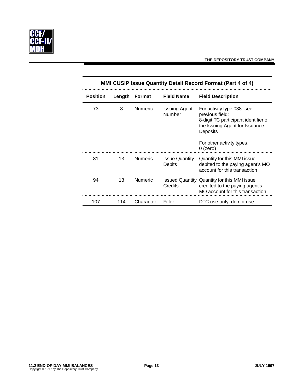

| <b>MMI CUSIP Issue Quantity Detail Record Format (Part 4 of 4)</b> |        |                |                                        |                                                                                                                                                                               |  |  |
|--------------------------------------------------------------------|--------|----------------|----------------------------------------|-------------------------------------------------------------------------------------------------------------------------------------------------------------------------------|--|--|
| <b>Position</b>                                                    | Length | Format         | <b>Field Name</b>                      | <b>Field Description</b>                                                                                                                                                      |  |  |
| 73                                                                 | 8      | <b>Numeric</b> | <b>Issuing Agent</b><br>Number         | For activity type 038–see<br>previous field:<br>8-digit TC participant identifier of<br>the Issuing Agent for Issuance<br>Deposits<br>For other activity types:<br>$0$ (zero) |  |  |
| 81                                                                 | 13     | <b>Numeric</b> | <b>Issue Quantity</b><br><b>Debits</b> | Quantity for this MMI issue<br>debited to the paying agent's MO<br>account for this transaction                                                                               |  |  |
| 94                                                                 | 13     | <b>Numeric</b> | Credits                                | <b>Issued Quantity Quantity for this MMI issue</b><br>credited to the paying agent's<br>MO account for this transaction                                                       |  |  |
| 107                                                                | 114    | Character      | Filler                                 | DTC use only; do not use                                                                                                                                                      |  |  |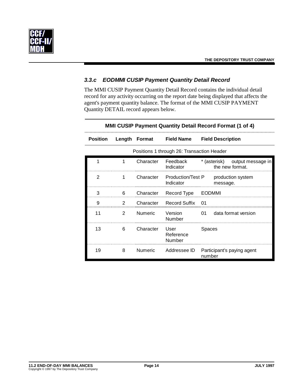

#### *3.3.c EODMMI CUSIP Payment Quantity Detail Record*

The MMI CUSIP Payment Quantity Detail Record contains the individual detail record for any activity occurring on the report date being displayed that affects the agent's payment quantity balance. The format of the MMI CUSIP PAYMENT Quantity DETAIL record appears below.

|                 | <b>MMI CUSIP Payment Quantity Detail Record Format (1 of 4)</b> |                |                                            |               |                                                   |  |
|-----------------|-----------------------------------------------------------------|----------------|--------------------------------------------|---------------|---------------------------------------------------|--|
| <b>Position</b> |                                                                 |                | Length Format Field Name                   |               | <b>Field Description</b>                          |  |
|                 |                                                                 |                | Positions 1 through 26: Transaction Header |               |                                                   |  |
| 1               | 1                                                               | Character      | Feedback<br>Indicator                      |               | * (asterisk) output message in<br>the new format. |  |
| 2               | 1                                                               | Character      | Indicator                                  |               | Production/Test P production system<br>message.   |  |
| 3               | 6                                                               | Character      | Record Type                                | <b>EODMMI</b> |                                                   |  |
| 9               | 2                                                               | Character      | <b>Record Suffix</b>                       | - 01          |                                                   |  |
| 11              | $\mathcal{P}$                                                   | <b>Numeric</b> | Version<br>Number                          | 01            | data format version                               |  |
| 13              | 6                                                               | Character      | User<br>Reference<br>Number                | Spaces        |                                                   |  |
| 19              | 8                                                               | Numeric        | Addressee ID                               | number        | Participant's paying agent                        |  |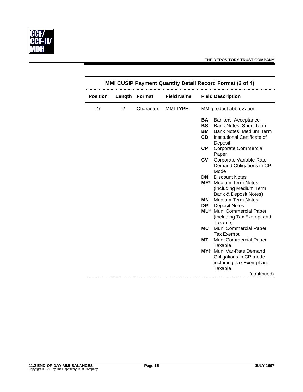

| <b>MMI CUSIP Payment Quantity Detail Record Format (2 of 4)</b> |                |               |                   |           |                                         |
|-----------------------------------------------------------------|----------------|---------------|-------------------|-----------|-----------------------------------------|
| <b>Position</b>                                                 | Length         | <b>Format</b> | <b>Field Name</b> |           | <b>Field Description</b>                |
| 27                                                              | $\overline{2}$ | Character     | <b>MMI TYPE</b>   |           | MMI product abbreviation:               |
|                                                                 |                |               |                   | <b>BA</b> | Bankers' Acceptance                     |
|                                                                 |                |               |                   | BS        | Bank Notes, Short Term                  |
|                                                                 |                |               |                   | BM        | Bank Notes, Medium Term                 |
|                                                                 |                |               |                   | CD        | Institutional Certificate of<br>Deposit |
|                                                                 |                |               |                   | СP        | <b>Corporate Commercial</b><br>Paper    |
|                                                                 |                |               |                   | CV        | Corporate Variable Rate                 |
|                                                                 |                |               |                   |           | Demand Obligations in CP                |
|                                                                 |                |               |                   |           | Mode                                    |
|                                                                 |                |               |                   | DN.       | <b>Discount Notes</b>                   |
|                                                                 |                |               |                   | ME*       | <b>Medium Term Notes</b>                |
|                                                                 |                |               |                   |           | (including Medium Term                  |
|                                                                 |                |               |                   |           | <b>Bank &amp; Deposit Notes)</b>        |
|                                                                 |                |               |                   | ΜN        | <b>Medium Term Notes</b>                |
|                                                                 |                |               |                   | DP.       | <b>Deposit Notes</b>                    |
|                                                                 |                |               |                   |           | MU <sup>+</sup> Muni Commercial Paper   |
|                                                                 |                |               |                   |           | (including Tax Exempt and               |
|                                                                 |                |               |                   |           | Taxable)                                |
|                                                                 |                |               |                   | <b>MC</b> | Muni Commercial Paper                   |
|                                                                 |                |               |                   |           | <b>Tax Exempt</b>                       |
|                                                                 |                |               |                   | МT        | Muni Commercial Paper                   |
|                                                                 |                |               |                   |           | Taxable                                 |
|                                                                 |                |               |                   |           | MY <sup>+</sup> Muni Var-Rate Demand    |
|                                                                 |                |               |                   |           | Obligations in CP mode                  |
|                                                                 |                |               |                   |           | including Tax Exempt and                |
|                                                                 |                |               |                   |           | Taxable                                 |
|                                                                 |                |               |                   |           | (continued)                             |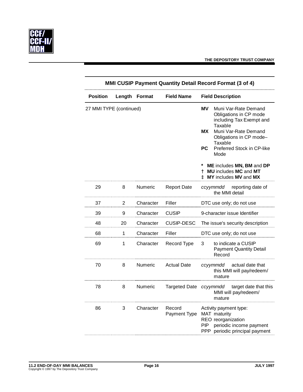

| <b>MMI CUSIP Payment Quantity Detail Record Format (3 of 4)</b> |        |           |                        |                                                                                                                                                                                                                                                        |  |
|-----------------------------------------------------------------|--------|-----------|------------------------|--------------------------------------------------------------------------------------------------------------------------------------------------------------------------------------------------------------------------------------------------------|--|
| <b>Position</b>                                                 | Length | Format    | <b>Field Name</b>      | <b>Field Description</b>                                                                                                                                                                                                                               |  |
| 27 MMI TYPE (continued)                                         |        |           |                        | <b>MV</b><br>Muni Var-Rate Demand<br>Obligations in CP mode<br>including Tax Exempt and<br>Taxable<br>ΜX<br>Muni Var-Rate Demand<br>Obligations in CP mode-<br>Taxable<br><b>PC</b><br>Preferred Stock in CP-like<br>Mode<br>ME includes MN, BM and DP |  |
|                                                                 |        |           |                        | <b>MU</b> includes MC and MT<br>t<br><b>‡ MY</b> includes MV and MX                                                                                                                                                                                    |  |
| 29                                                              | 8      | Numeric   | <b>Report Date</b>     | reporting date of<br>ccyymmdd<br>the MMI detail                                                                                                                                                                                                        |  |
| 37                                                              | 2      | Character | Filler                 | DTC use only; do not use                                                                                                                                                                                                                               |  |
| 39                                                              | 9      | Character | <b>CUSIP</b>           | 9-character issue Identifier                                                                                                                                                                                                                           |  |
| 48                                                              | 20     | Character | <b>CUSIP-DESC</b>      | The issue's security description                                                                                                                                                                                                                       |  |
| 68                                                              | 1      | Character | Filler                 | DTC use only; do not use                                                                                                                                                                                                                               |  |
| 69                                                              | 1      | Character | Record Type            | 3<br>to indicate a CUSIP<br><b>Payment Quantity Detail</b><br>Record                                                                                                                                                                                   |  |
| 70                                                              | 8      | Numeric   | <b>Actual Date</b>     | ccyymmdd actual date that<br>this MMI will pay/redeem/<br>mature                                                                                                                                                                                       |  |
| 78                                                              | 8      | Numeric   | <b>Targeted Date</b>   | ccyymmdd<br>target date that this<br>MMI will pay/redeem/<br>mature                                                                                                                                                                                    |  |
| 86                                                              | 3      | Character | Record<br>Payment Type | Activity payment type:<br>MAT maturity<br>REO reorganization<br>periodic income payment<br>PIP<br>PPP periodic principal payment                                                                                                                       |  |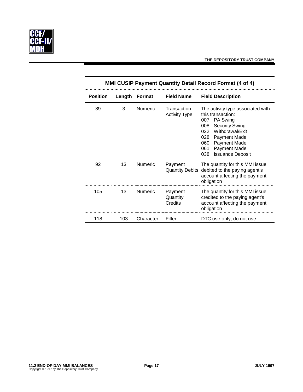

| <b>MMI CUSIP Payment Quantity Detail Record Format (4 of 4)</b> |        |                |                                     |                                                                                                                                                                                                                                                          |
|-----------------------------------------------------------------|--------|----------------|-------------------------------------|----------------------------------------------------------------------------------------------------------------------------------------------------------------------------------------------------------------------------------------------------------|
| <b>Position</b>                                                 | Length | Format         | <b>Field Name</b>                   | <b>Field Description</b>                                                                                                                                                                                                                                 |
| 89                                                              | 3      | <b>Numeric</b> | Transaction<br><b>Activity Type</b> | The activity type associated with<br>this transaction:<br>PA Swing<br>007<br>008<br><b>Security Swing</b><br>022<br>Withdrawal/Exit<br>028<br><b>Payment Made</b><br>060<br><b>Payment Made</b><br>061<br>Payment Made<br>038<br><b>Issuance Deposit</b> |
| 92                                                              | 13     | <b>Numeric</b> | Payment<br><b>Quantity Debits</b>   | The quantity for this MMI issue<br>debited to the paying agent's<br>account affecting the payment<br>obligation                                                                                                                                          |
| 105                                                             | 13     | <b>Numeric</b> | Payment<br>Quantity<br>Credits      | The quantity for this MMI issue<br>credited to the paying agent's<br>account affecting the payment<br>obligation                                                                                                                                         |
| 118                                                             | 103    | Character      | Filler                              | DTC use only; do not use                                                                                                                                                                                                                                 |

# **11.2 END-OF-DAY MMI BALANCES Page 17 JULY 1997** Copyright © 1997 by The Depository Trust Company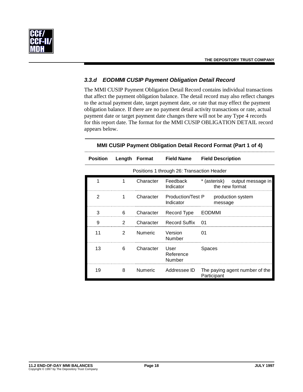

# *3.3.d EODMMI CUSIP Payment Obligation Detail Record*

The MMI CUSIP Payment Obligation Detail Record contains individual transactions that affect the payment obligation balance. The detail record may also reflect changes to the actual payment date, target payment date, or rate that may effect the payment obligation balance. If there are no payment detail activity transactions or rate, actual payment date or target payment date changes there will not be any Type 4 records for this report date. The format for the MMI CUSIP OBLIGATION DETAIL record appears below.

| $mmin$ over the agricult opingation betain record from at $n$ and $n \rightarrow n$ |                |                |                                            |                                                     |
|-------------------------------------------------------------------------------------|----------------|----------------|--------------------------------------------|-----------------------------------------------------|
| <b>Position</b>                                                                     |                | Length Format  | <b>Field Name</b>                          | <b>Field Description</b>                            |
|                                                                                     |                |                | Positions 1 through 26: Transaction Header |                                                     |
| 1                                                                                   | 1              | Character      | Feedback<br>Indicator                      | * (asterisk)<br>output message in<br>the new format |
| 2                                                                                   | 1              | Character      | Production/Test P<br>Indicator             | production system<br>message                        |
| 3                                                                                   | 6              | Character      | Record Type                                | <b>EODMMI</b>                                       |
| 9                                                                                   | $\overline{2}$ | Character      | Record Suffix                              | 01                                                  |
| 11                                                                                  | $\overline{2}$ | <b>Numeric</b> | Version<br>Number                          | 01                                                  |
| 13                                                                                  | 6              | Character      | User<br>Reference<br>Number                | Spaces                                              |
| 19                                                                                  | 8              | Numeric        | Addressee ID                               | The paying agent number of the<br>Participant       |

#### **MMI CUSIP Payment Obligation Detail Record Format (Part 1 of 4)**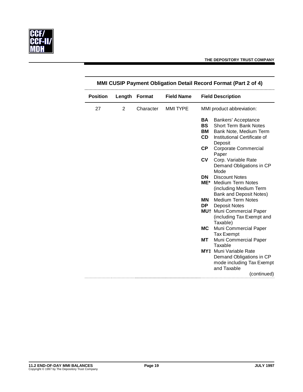

| <b>Position</b> | Length | Format    | <b>Field Name</b> |           | <b>Field Description</b>                   |  |
|-----------------|--------|-----------|-------------------|-----------|--------------------------------------------|--|
| 27              | 2      | Character | <b>MMI TYPE</b>   |           | MMI product abbreviation:                  |  |
|                 |        |           |                   | <b>BA</b> | Bankers' Acceptance                        |  |
|                 |        |           |                   | <b>BS</b> | <b>Short Term Bank Notes</b>               |  |
|                 |        |           |                   | BM        | Bank Note, Medium Term                     |  |
|                 |        |           |                   | <b>CD</b> | Institutional Certificate of<br>Deposit    |  |
|                 |        |           |                   | <b>CP</b> | <b>Corporate Commercial</b>                |  |
|                 |        |           |                   |           | Paper                                      |  |
|                 |        |           |                   | <b>CV</b> | Corp. Variable Rate                        |  |
|                 |        |           |                   |           | Demand Obligations in CP                   |  |
|                 |        |           |                   |           | Mode                                       |  |
|                 |        |           |                   | DN        | <b>Discount Notes</b>                      |  |
|                 |        |           |                   | ME*       | <b>Medium Term Notes</b>                   |  |
|                 |        |           |                   |           | (including Medium Term                     |  |
|                 |        |           |                   |           | Bank and Deposit Notes)                    |  |
|                 |        |           |                   | <b>MN</b> | <b>Medium Term Notes</b>                   |  |
|                 |        |           |                   | DP.       | <b>Deposit Notes</b>                       |  |
|                 |        |           |                   |           | MU <sup>+</sup> Muni Commercial Paper      |  |
|                 |        |           |                   |           | (including Tax Exempt and                  |  |
|                 |        |           |                   |           | Taxable)                                   |  |
|                 |        |           |                   | МC        | Muni Commercial Paper                      |  |
|                 |        |           |                   | МT        | <b>Tax Exempt</b><br>Muni Commercial Paper |  |
|                 |        |           |                   |           | Taxable                                    |  |
|                 |        |           |                   |           | MY <sup>+</sup> Muni Variable Rate         |  |
|                 |        |           |                   |           | Demand Obligations in CP                   |  |
|                 |        |           |                   |           | mode including Tax Exempt                  |  |
|                 |        |           |                   |           | and Taxable                                |  |
|                 |        |           |                   |           | (continued)                                |  |
|                 |        |           |                   |           |                                            |  |

# **MMI CUSIP Payment Obligation Detail Record Format (Part 2 of 4)**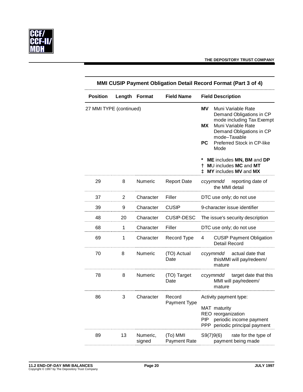

| MMI CUSIP Payment Obligation Detail Record Format (Part 3 of 4) |        |                    |                                 |                                                                                                                                                                                                                                                                            |
|-----------------------------------------------------------------|--------|--------------------|---------------------------------|----------------------------------------------------------------------------------------------------------------------------------------------------------------------------------------------------------------------------------------------------------------------------|
| <b>Position</b>                                                 | Length | <b>Format</b>      | <b>Field Name</b>               | <b>Field Description</b>                                                                                                                                                                                                                                                   |
| 27 MMI TYPE (continued)                                         |        |                    |                                 | MV.<br>Muni Variable Rate<br>Demand Obligations in CP<br>mode including Tax Exempt<br><b>MX</b><br>Muni Variable Rate<br>Demand Obligations in CP<br>mode-Taxable<br>Preferred Stock in CP-like<br><b>PC</b><br>Mode<br>ME includes MN, BM and DP<br>MU includes MC and MT |
|                                                                 |        |                    |                                 | <b>‡ MY</b> includes MV and MX                                                                                                                                                                                                                                             |
| 29                                                              | 8      | Numeric            | <b>Report Date</b>              | ccyymmdd reporting date of<br>the MMI detail                                                                                                                                                                                                                               |
| 37                                                              | 2      | Character          | Filler                          | DTC use only; do not use                                                                                                                                                                                                                                                   |
| 39                                                              | 9      | Character          | <b>CUSIP</b>                    | 9-character issue identifier                                                                                                                                                                                                                                               |
| 48                                                              | 20     | Character          | <b>CUSIP-DESC</b>               | The issue's security description                                                                                                                                                                                                                                           |
| 68                                                              | 1.     | Character          | Filler                          | DTC use only; do not use                                                                                                                                                                                                                                                   |
| 69                                                              | 1      | Character          | Record Type                     | <b>CUSIP Payment Obligation</b><br>4<br><b>Detail Record</b>                                                                                                                                                                                                               |
| 70                                                              | 8      | Numeric            | (TO) Actual<br>Date             | ccyymmdd actual date that<br>thisMMI will pay/redeem/<br>mature                                                                                                                                                                                                            |
| 78                                                              | 8      | Numeric            | (TO) Target<br>Date             | ccyymmdd target date that this<br>MMI will pay/redeem/<br>mature                                                                                                                                                                                                           |
| 86                                                              | 3      | Character          | Record<br><b>Payment Type</b>   | Activity payment type:<br>MAT maturity<br>REO reorganization<br>PIP<br>periodic income payment<br>periodic principal payment<br>PPP                                                                                                                                        |
| 89                                                              | 13     | Numeric,<br>signed | (To) MMI<br><b>Payment Rate</b> | S9(7)9(6)<br>rate for the type of<br>payment being made                                                                                                                                                                                                                    |